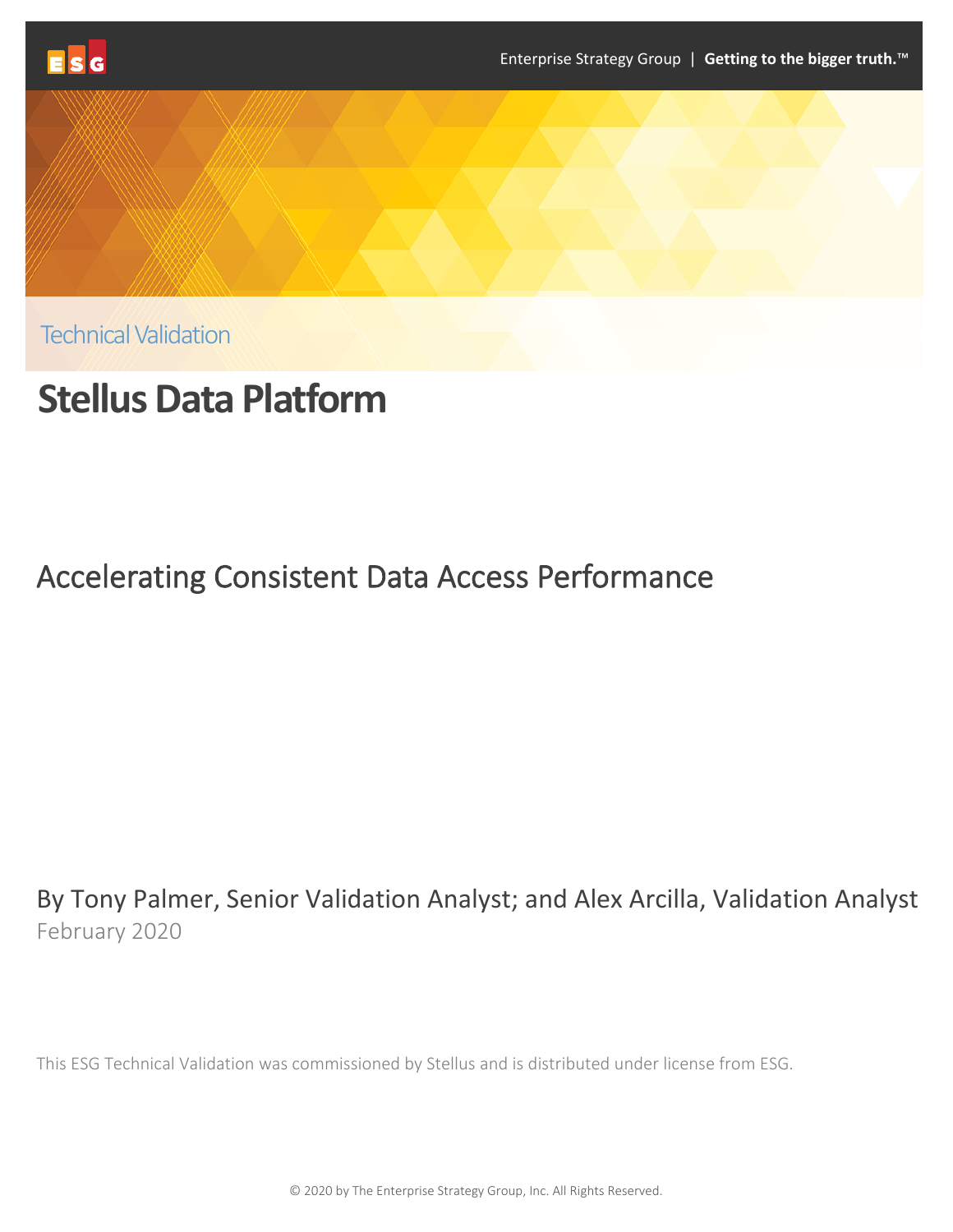





Technical Validation

# **Stellus Data Platform**

## Accelerating Consistent Data Access Performance

By Tony Palmer, Senior Validation Analyst; and Alex Arcilla, Validation Analyst February 2020

This ESG Technical Validation was commissioned by Stellus and is distributed under license from ESG.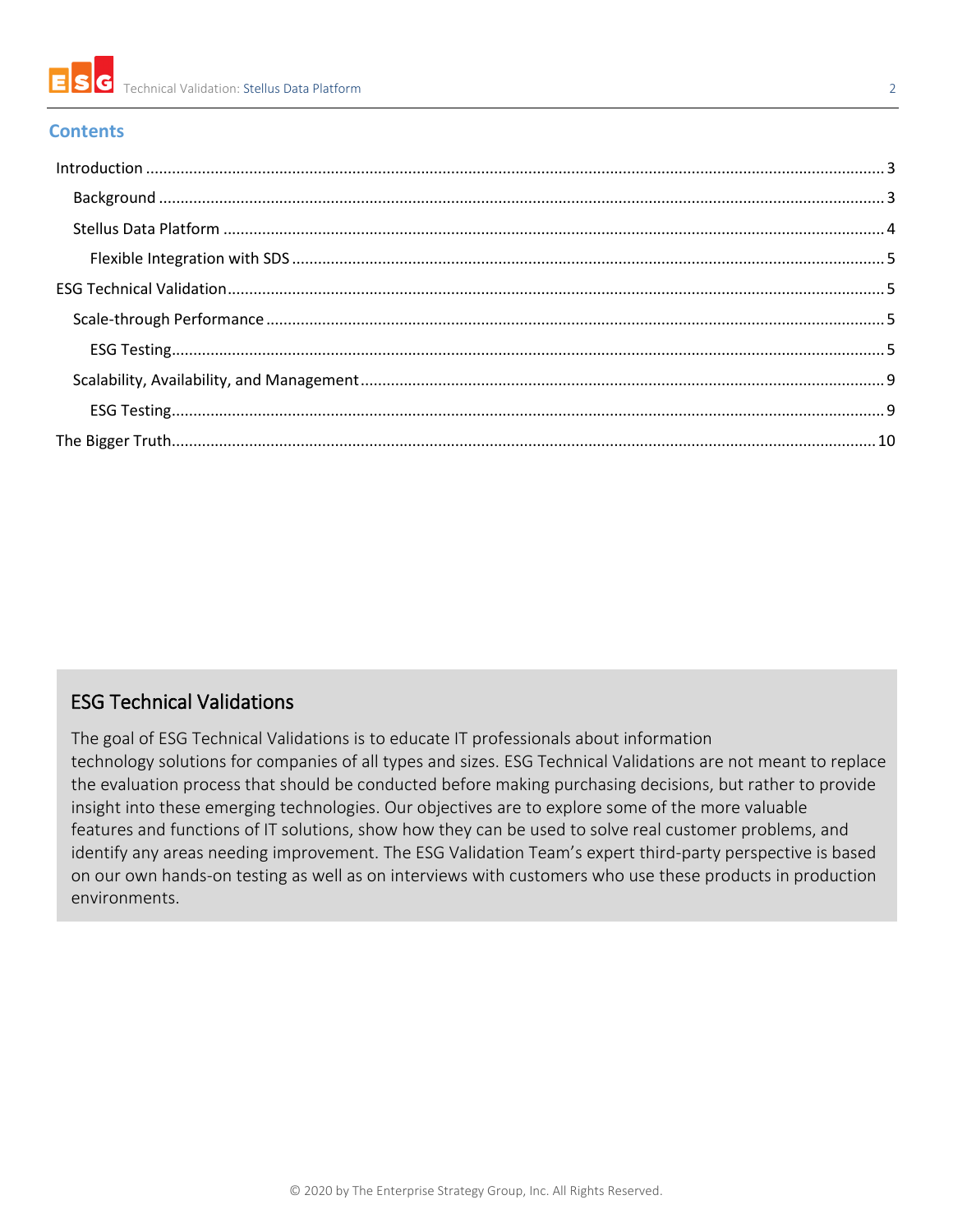

#### **Contents**

#### ESG Technical Validations

The goal of ESG Technical Validations is to educate IT professionals about information technology solutions for companies of all types and sizes. ESG Technical Validations are not meant to replace the evaluation process that should be conducted before making purchasing decisions, but rather to provide insight into these emerging technologies. Our objectives are to explore some of the more valuable features and functions of IT solutions, show how they can be used to solve real customer problems, and identify any areas needing improvement. The ESG Validation Team's expert third-party perspective is based on our own hands-on testing as well as on interviews with customers who use these products in production environments.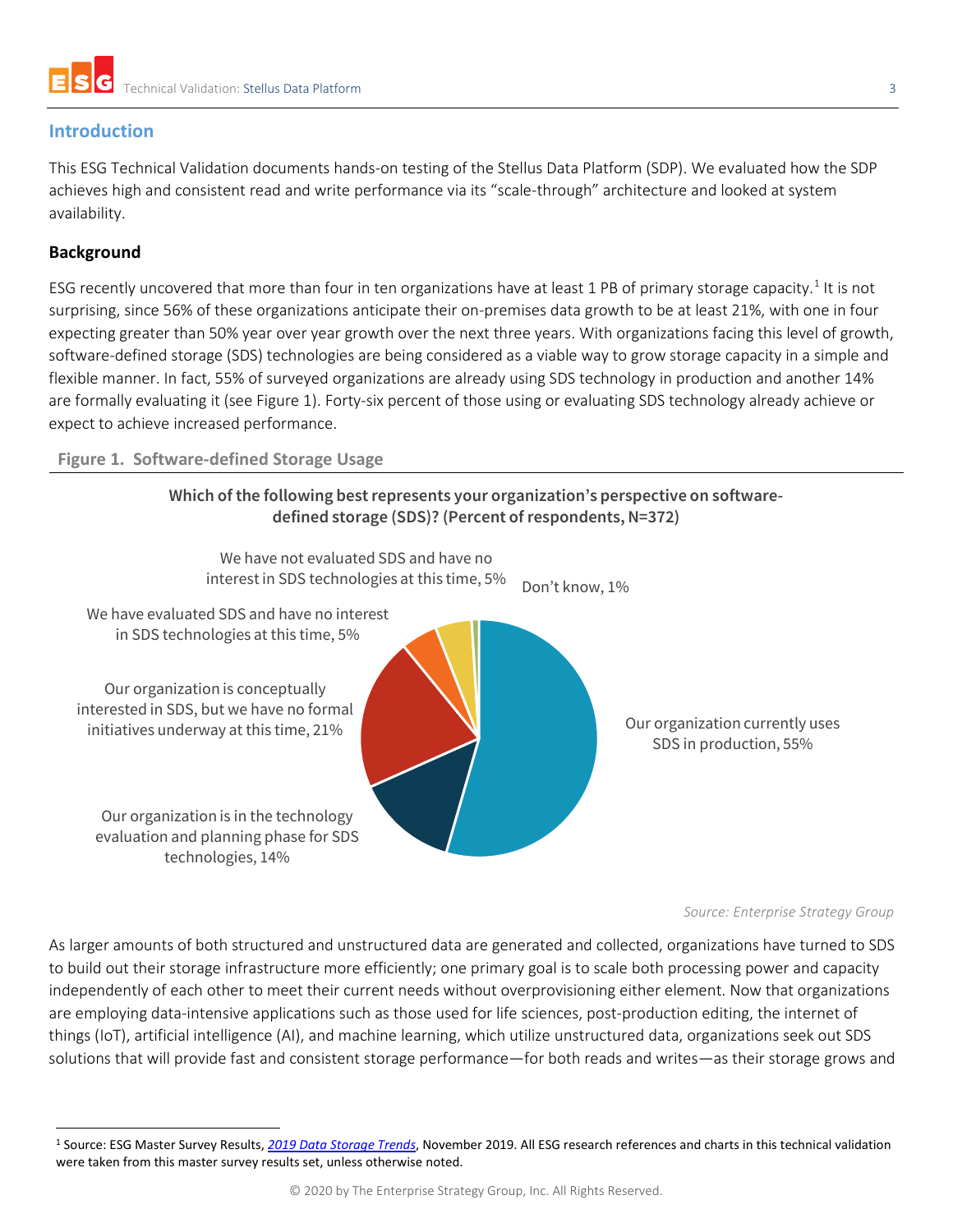

#### <span id="page-2-0"></span>**Introduction**

This ESG Technical Validation documents hands-on testing of the Stellus Data Platform (SDP). We evaluated how the SDP achieves high and consistent read and write performance via its "scale-through" architecture and looked at system availability.

#### <span id="page-2-1"></span>**Background**

ESG recently uncovered that more than four in ten organizations have at least [1](#page-2-3) PB of primary storage capacity.<sup>1</sup> It is not surprising, since 56% of these organizations anticipate their on-premises data growth to be at least 21%, with one in four expecting greater than 50% year over year growth over the next three years. With organizations facing this level of growth, software-defined storage (SDS) technologies are being considered as a viable way to grow storage capacity in a simple and flexible manner. In fact, 55% of surveyed organizations are already using SDS technology in production and another 14% are formally evaluating it (see [Figure 1\)](#page-2-2). Forty-six percent of those using or evaluating SDS technology already achieve or expect to achieve increased performance.

#### <span id="page-2-2"></span>**Figure 1. Software-defined Storage Usage**





#### *Source: Enterprise Strategy Group*

As larger amounts of both structured and unstructured data are generated and collected, organizations have turned to SDS to build out their storage infrastructure more efficiently; one primary goal is to scale both processing power and capacity independently of each other to meet their current needs without overprovisioning either element. Now that organizations are employing data-intensive applications such as those used for life sciences, post-production editing, the internet of things (IoT), artificial intelligence (AI), and machine learning, which utilize unstructured data, organizations seek out SDS solutions that will provide fast and consistent storage performance—for both reads and writes—as their storage grows and

<span id="page-2-3"></span><sup>1</sup> Source: ESG Master Survey Results, *[2019 Data Storage Trends](https://research.esg-global.com/reportaction/DataStorageTrendsMSR2019/Toc)*, November 2019. All ESG research references and charts in this technical validation were taken from this master survey results set, unless otherwise noted.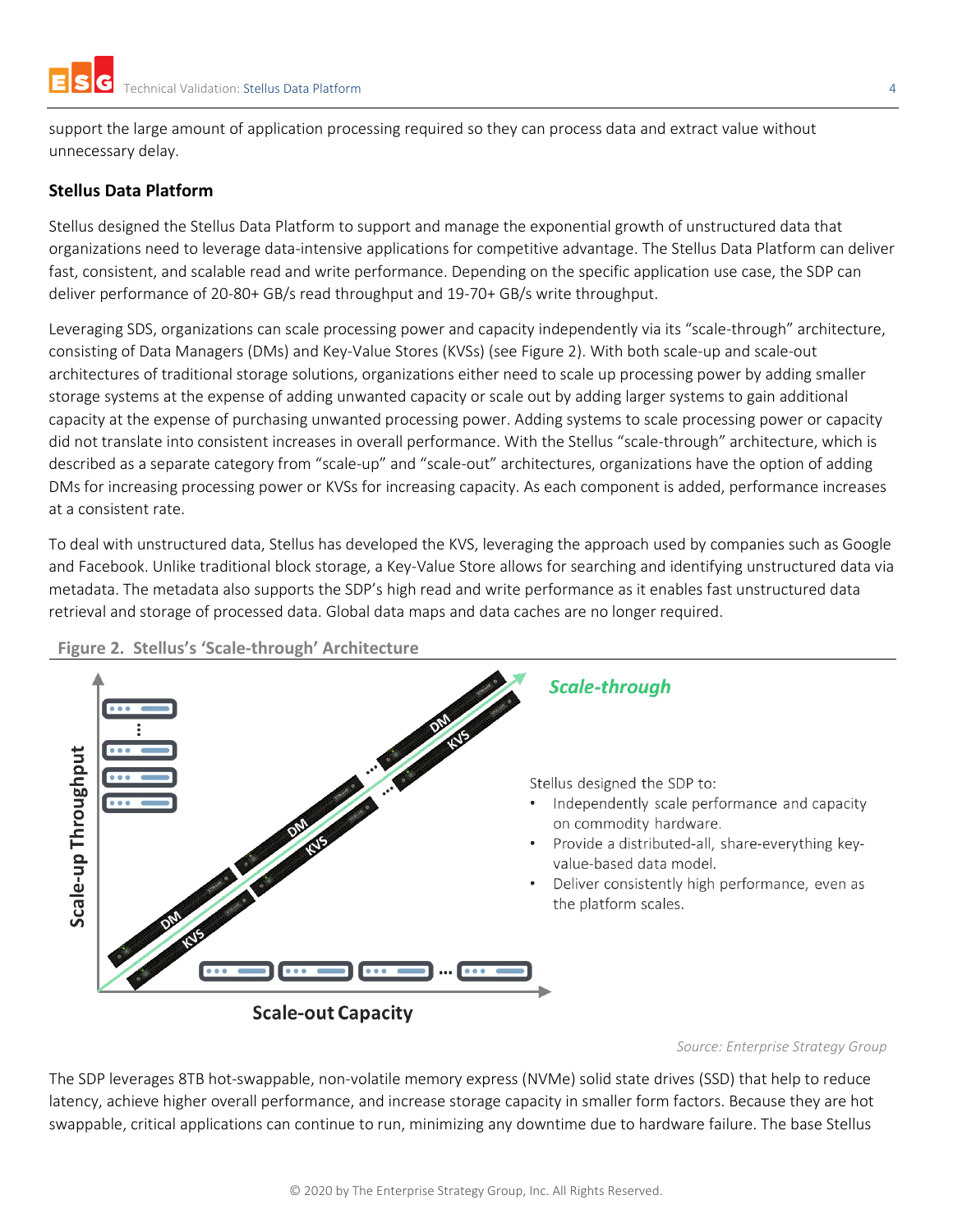support the large amount of application processing required so they can process data and extract value without unnecessary delay.

#### <span id="page-3-0"></span>**Stellus Data Platform**

Stellus designed the Stellus Data Platform to support and manage the exponential growth of unstructured data that organizations need to leverage data-intensive applications for competitive advantage. The Stellus Data Platform can deliver fast, consistent, and scalable read and write performance. Depending on the specific application use case, the SDP can deliver performance of 20-80+ GB/s read throughput and 19-70+ GB/s write throughput.

Leveraging SDS, organizations can scale processing power and capacity independently via its "scale-through" architecture, consisting of Data Managers (DMs) and Key-Value Stores (KVSs) (see [Figure 2\)](#page-3-1). With both scale-up and scale-out architectures of traditional storage solutions, organizations either need to scale up processing power by adding smaller storage systems at the expense of adding unwanted capacity or scale out by adding larger systems to gain additional capacity at the expense of purchasing unwanted processing power. Adding systems to scale processing power or capacity did not translate into consistent increases in overall performance. With the Stellus "scale-through" architecture, which is described as a separate category from "scale-up" and "scale-out" architectures, organizations have the option of adding DMs for increasing processing power or KVSs for increasing capacity. As each component is added, performance increases at a consistent rate.

To deal with unstructured data, Stellus has developed the KVS, leveraging the approach used by companies such as Google and Facebook. Unlike traditional block storage, a Key-Value Store allows for searching and identifying unstructured data via metadata. The metadata also supports the SDP's high read and write performance as it enables fast unstructured data retrieval and storage of processed data. Global data maps and data caches are no longer required.



<span id="page-3-1"></span>**Figure 2. Stellus's 'Scale-through' Architecture**

*Source: Enterprise Strategy Group*

The SDP leverages 8TB hot-swappable, non-volatile memory express (NVMe) solid state drives (SSD) that help to reduce latency, achieve higher overall performance, and increase storage capacity in smaller form factors. Because they are hot swappable, critical applications can continue to run, minimizing any downtime due to hardware failure. The base Stellus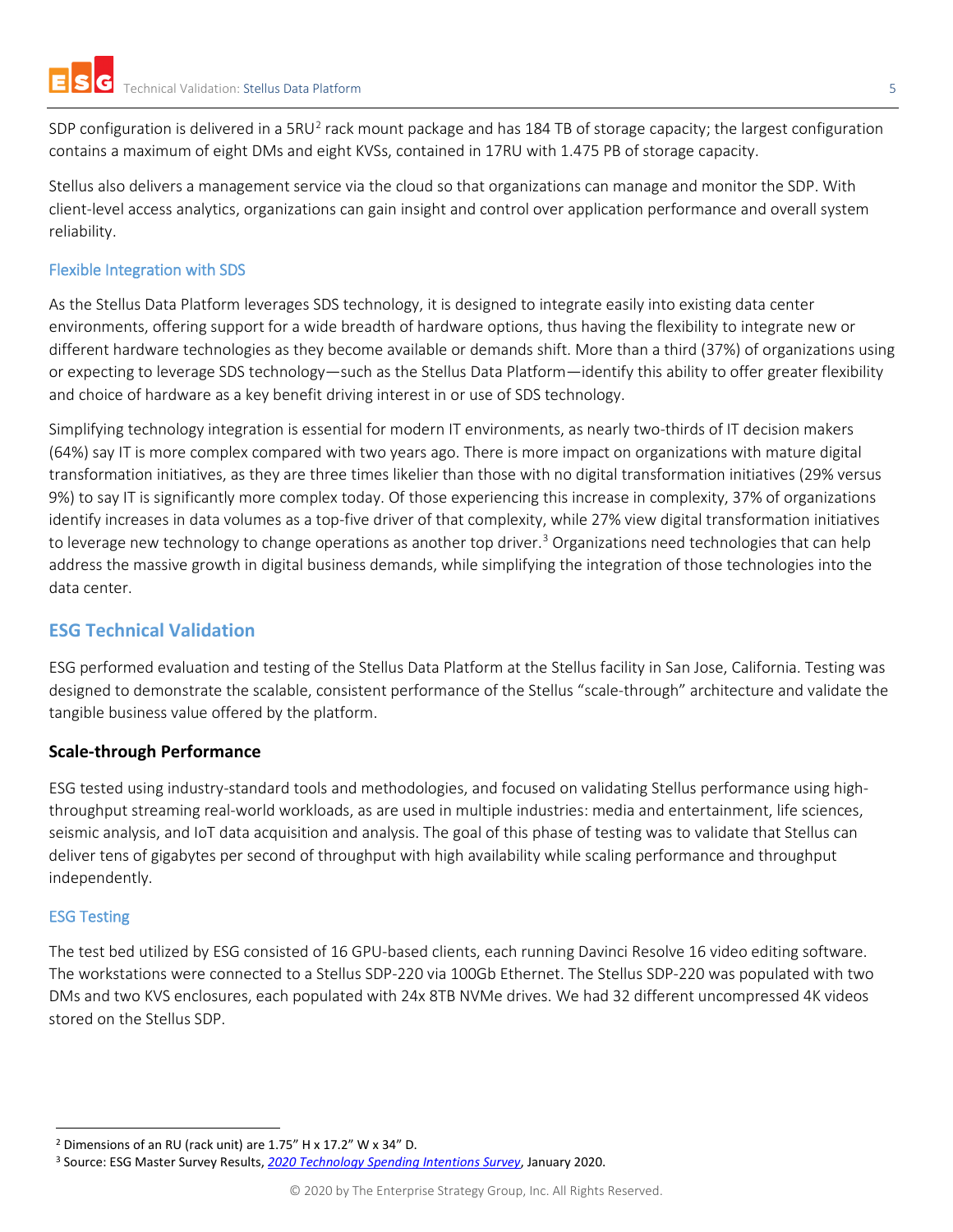SDP configuration is delivered in a 5RU<sup>[2](#page-4-4)</sup> rack mount package and has 184 TB of storage capacity; the largest configuration contains a maximum of eight DMs and eight KVSs, contained in 17RU with 1.475 PB of storage capacity.

Stellus also delivers a management service via the cloud so that organizations can manage and monitor the SDP. With client-level access analytics, organizations can gain insight and control over application performance and overall system reliability.

#### <span id="page-4-0"></span>Flexible Integration with SDS

As the Stellus Data Platform leverages SDS technology, it is designed to integrate easily into existing data center environments, offering support for a wide breadth of hardware options, thus having the flexibility to integrate new or different hardware technologies as they become available or demands shift. More than a third (37%) of organizations using or expecting to leverage SDS technology—such as the Stellus Data Platform—identify this ability to offer greater flexibility and choice of hardware as a key benefit driving interest in or use of SDS technology.

Simplifying technology integration is essential for modern IT environments, as nearly two-thirds of IT decision makers (64%) say IT is more complex compared with two years ago. There is more impact on organizations with mature digital transformation initiatives, as they are three times likelier than those with no digital transformation initiatives (29% versus 9%) to say IT is significantly more complex today. Of those experiencing this increase in complexity, 37% of organizations identify increases in data volumes as a top-five driver of that complexity, while 27% view digital transformation initiatives to leverage new technology to change operations as another top driver.<sup>[3](#page-4-5)</sup> Organizations need technologies that can help address the massive growth in digital business demands, while simplifying the integration of those technologies into the data center.

#### <span id="page-4-1"></span>**ESG Technical Validation**

ESG performed evaluation and testing of the Stellus Data Platform at the Stellus facility in San Jose, California. Testing was designed to demonstrate the scalable, consistent performance of the Stellus "scale-through" architecture and validate the tangible business value offered by the platform.

#### <span id="page-4-2"></span>**Scale-through Performance**

ESG tested using industry-standard tools and methodologies, and focused on validating Stellus performance using highthroughput streaming real-world workloads, as are used in multiple industries: media and entertainment, life sciences, seismic analysis, and IoT data acquisition and analysis. The goal of this phase of testing was to validate that Stellus can deliver tens of gigabytes per second of throughput with high availability while scaling performance and throughput independently.

#### <span id="page-4-3"></span>ESG Testing

The test bed utilized by ESG consisted of 16 GPU-based clients, each running Davinci Resolve 16 video editing software. The workstations were connected to a Stellus SDP-220 via 100Gb Ethernet. The Stellus SDP-220 was populated with two DMs and two KVS enclosures, each populated with 24x 8TB NVMe drives. We had 32 different uncompressed 4K videos stored on the Stellus SDP.

<span id="page-4-4"></span><sup>2</sup> Dimensions of an RU (rack unit) are 1.75" H x 17.2" W x 34" D.

<span id="page-4-5"></span><sup>3</sup> Source: ESG Master Survey Results, *[2020 Technology Spending Intentions Survey](https://research.esg-global.com/reportaction/TechnologySpendingIntentionsMSR-Jan2020/Toc)*, January 2020.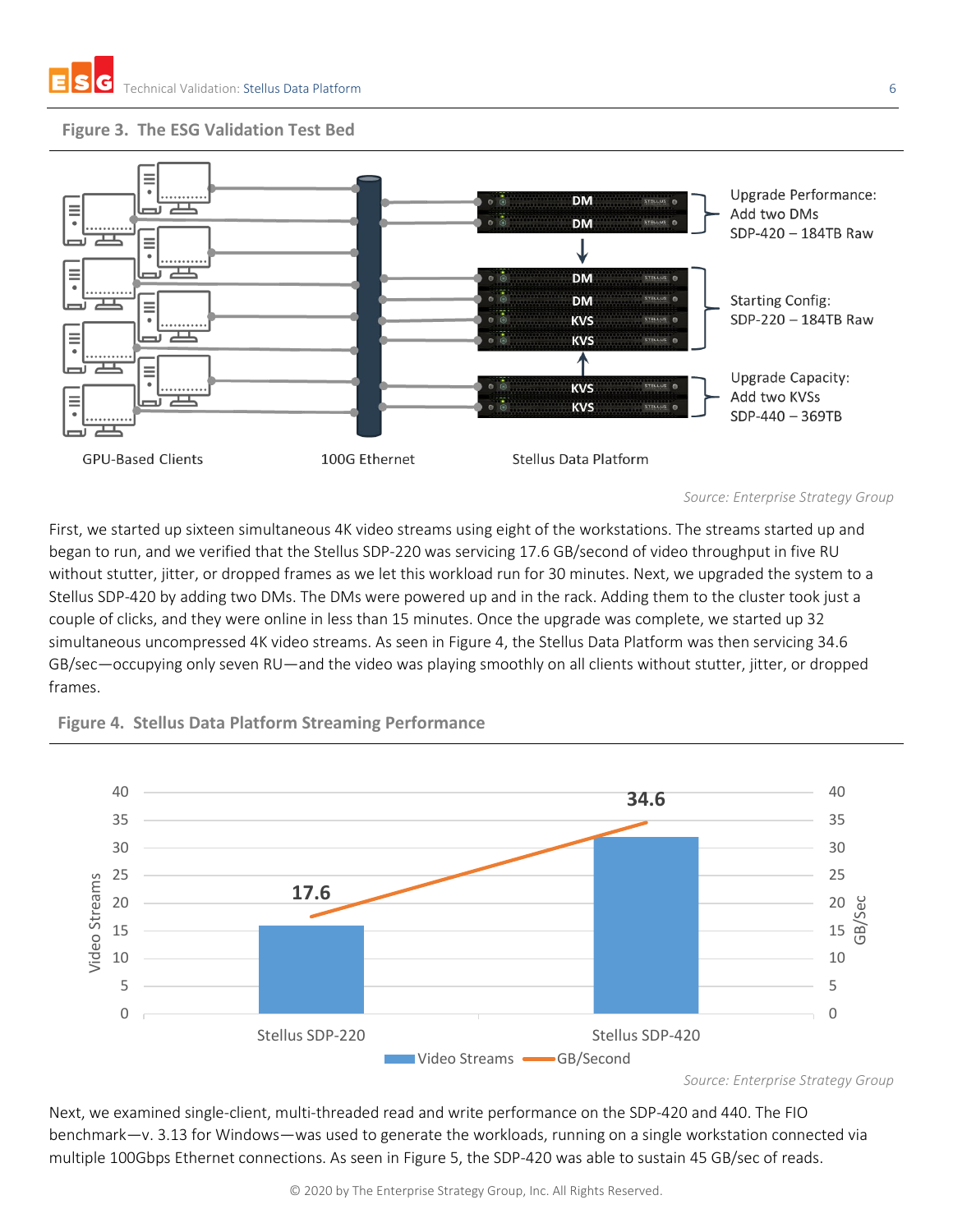



*Source: Enterprise Strategy Group*

First, we started up sixteen simultaneous 4K video streams using eight of the workstations. The streams started up and began to run, and we verified that the Stellus SDP-220 was servicing 17.6 GB/second of video throughput in five RU without stutter, jitter, or dropped frames as we let this workload run for 30 minutes. Next, we upgraded the system to a Stellus SDP-420 by adding two DMs. The DMs were powered up and in the rack. Adding them to the cluster took just a couple of clicks, and they were online in less than 15 minutes. Once the upgrade was complete, we started up 32 simultaneous uncompressed 4K video streams. As seen in [Figure 4,](#page-5-0) the Stellus Data Platform was then servicing 34.6 GB/sec—occupying only seven RU—and the video was playing smoothly on all clients without stutter, jitter, or dropped frames.



<span id="page-5-0"></span>**Figure 4. Stellus Data Platform Streaming Performance**

*Source: Enterprise Strategy Group*

Next, we examined single-client, multi-threaded read and write performance on the SDP-420 and 440. The FIO benchmark—v. 3.13 for Windows—was used to generate the workloads, running on a single workstation connected via multiple 100Gbps Ethernet connections. As seen in [Figure 5,](#page-6-0) the SDP-420 was able to sustain 45 GB/sec of reads.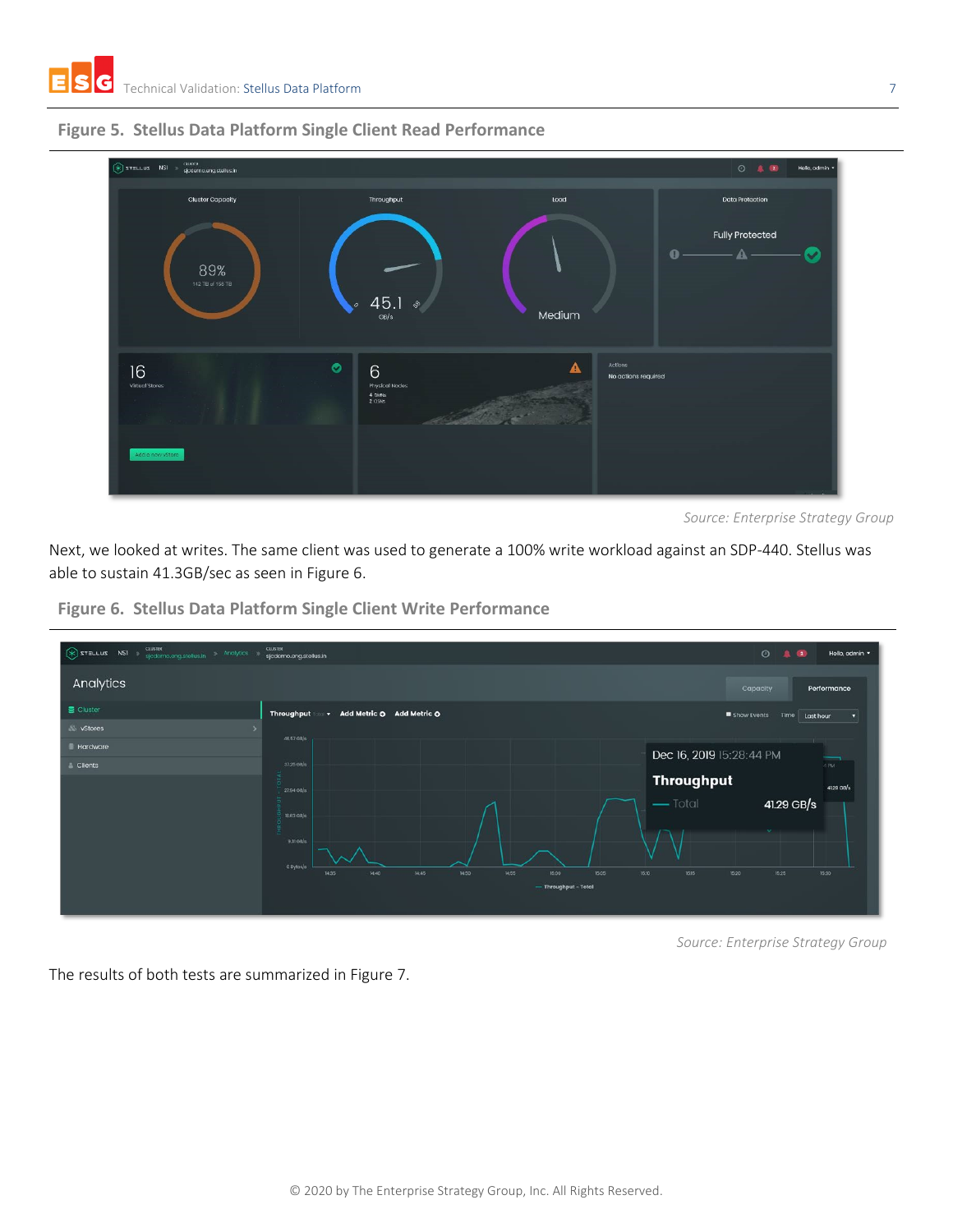

<span id="page-6-0"></span>**Figure 5. Stellus Data Platform Single Client Read Performance**



Next, we looked at writes. The same client was used to generate a 100% write workload against an SDP-440. Stellus was able to sustain 41.3GB/sec as seen in [Figure 6.](#page-6-1)



<span id="page-6-1"></span>**Figure 6. Stellus Data Platform Single Client Write Performance**

*Source: Enterprise Strategy Group*

The results of both tests are summarized in [Figure 7.](#page-7-0)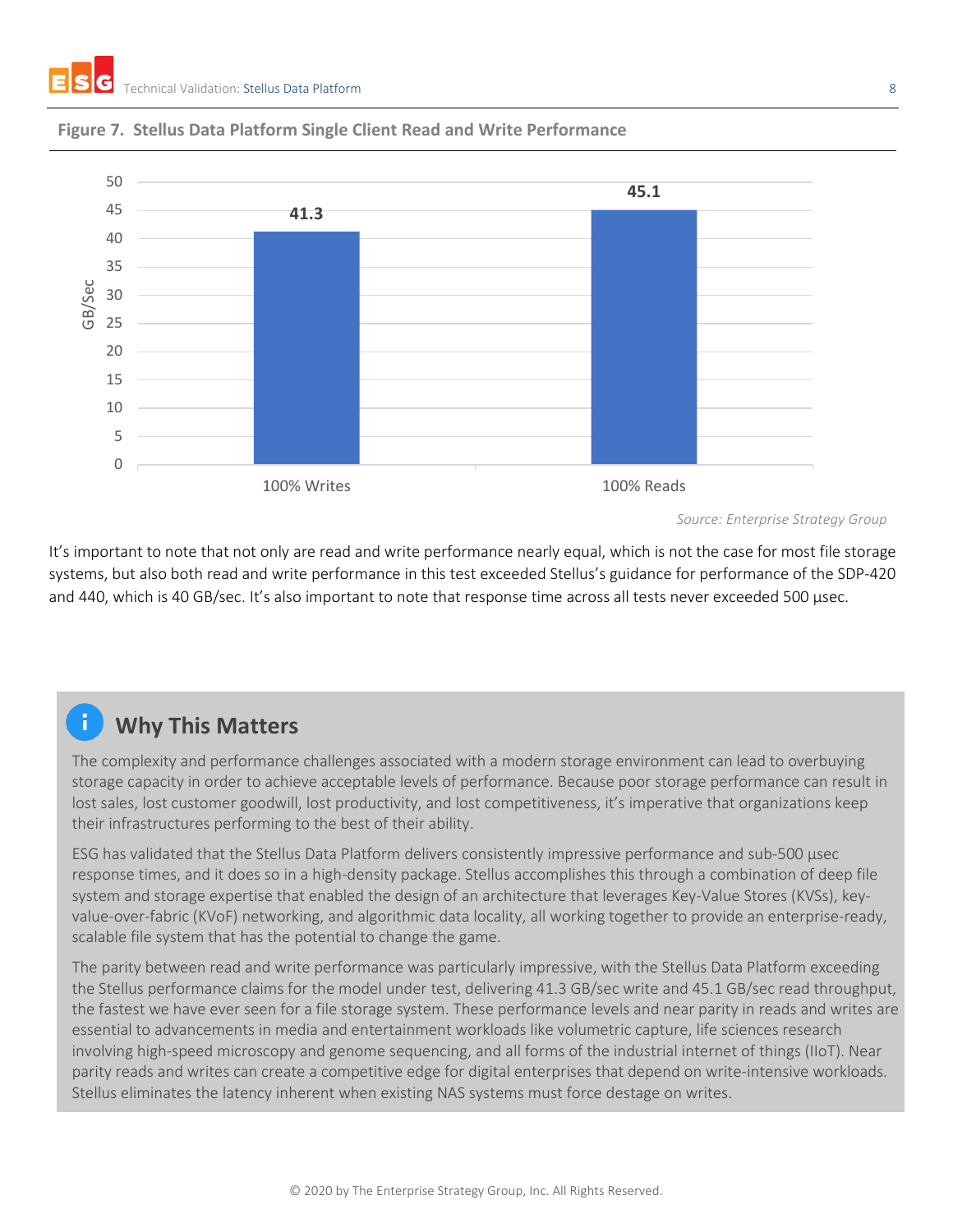

#### <span id="page-7-0"></span>**Figure 7. Stellus Data Platform Single Client Read and Write Performance**

It's important to note that not only are read and write performance nearly equal, which is not the case for most file storage systems, but also both read and write performance in this test exceeded Stellus's guidance for performance of the SDP-420 and 440, which is 40 GB/sec. It's also important to note that response time across all tests never exceeded 500 µsec.

## **Why This Matters**

The complexity and performance challenges associated with a modern storage environment can lead to overbuying storage capacity in order to achieve acceptable levels of performance. Because poor storage performance can result in lost sales, lost customer goodwill, lost productivity, and lost competitiveness, it's imperative that organizations keep their infrastructures performing to the best of their ability.

ESG has validated that the Stellus Data Platform delivers consistently impressive performance and sub-500 µsec response times, and it does so in a high-density package. Stellus accomplishes this through a combination of deep file system and storage expertise that enabled the design of an architecture that leverages Key-Value Stores (KVSs), keyvalue-over-fabric (KVoF) networking, and algorithmic data locality, all working together to provide an enterprise-ready, scalable file system that has the potential to change the game.

The parity between read and write performance was particularly impressive, with the Stellus Data Platform exceeding the Stellus performance claims for the model under test, delivering 41.3 GB/sec write and 45.1 GB/sec read throughput, the fastest we have ever seen for a file storage system. These performance levels and near parity in reads and writes are essential to advancements in media and entertainment workloads like volumetric capture, life sciences research involving high-speed microscopy and genome sequencing, and all forms of the industrial internet of things (IIoT). Near parity reads and writes can create a competitive edge for digital enterprises that depend on write-intensive workloads. Stellus eliminates the latency inherent when existing NAS systems must force destage on writes.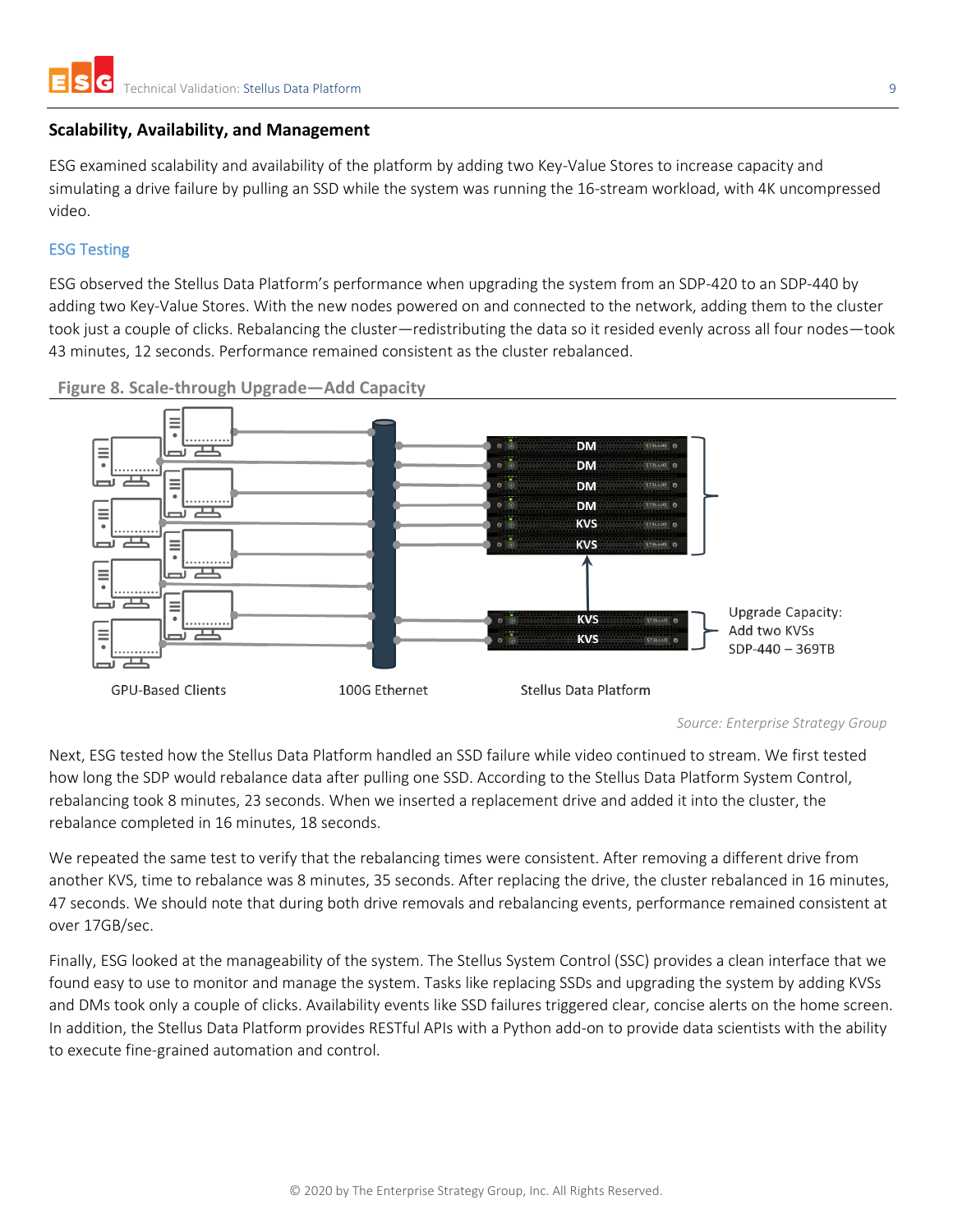#### <span id="page-8-0"></span>**Scalability, Availability, and Management**

ESG examined scalability and availability of the platform by adding two Key-Value Stores to increase capacity and simulating a drive failure by pulling an SSD while the system was running the 16-stream workload, with 4K uncompressed video.

#### <span id="page-8-1"></span>ESG Testing

ESG observed the Stellus Data Platform's performance when upgrading the system from an SDP-420 to an SDP-440 by adding two Key-Value Stores. With the new nodes powered on and connected to the network, adding them to the cluster took just a couple of clicks. Rebalancing the cluster—redistributing the data so it resided evenly across all four nodes—took 43 minutes, 12 seconds. Performance remained consistent as the cluster rebalanced.



**Figure 8. Scale-through Upgrade—Add Capacity**

Next, ESG tested how the Stellus Data Platform handled an SSD failure while video continued to stream. We first tested how long the SDP would rebalance data after pulling one SSD. According to the Stellus Data Platform System Control, rebalancing took 8 minutes, 23 seconds. When we inserted a replacement drive and added it into the cluster, the rebalance completed in 16 minutes, 18 seconds.

We repeated the same test to verify that the rebalancing times were consistent. After removing a different drive from another KVS, time to rebalance was 8 minutes, 35 seconds. After replacing the drive, the cluster rebalanced in 16 minutes, 47 seconds. We should note that during both drive removals and rebalancing events, performance remained consistent at over 17GB/sec.

Finally, ESG looked at the manageability of the system. The Stellus System Control (SSC) provides a clean interface that we found easy to use to monitor and manage the system. Tasks like replacing SSDs and upgrading the system by adding KVSs and DMs took only a couple of clicks. Availability events like SSD failures triggered clear, concise alerts on the home screen. In addition, the Stellus Data Platform provides RESTful APIs with a Python add-on to provide data scientists with the ability to execute fine-grained automation and control.

*Source: Enterprise Strategy Group*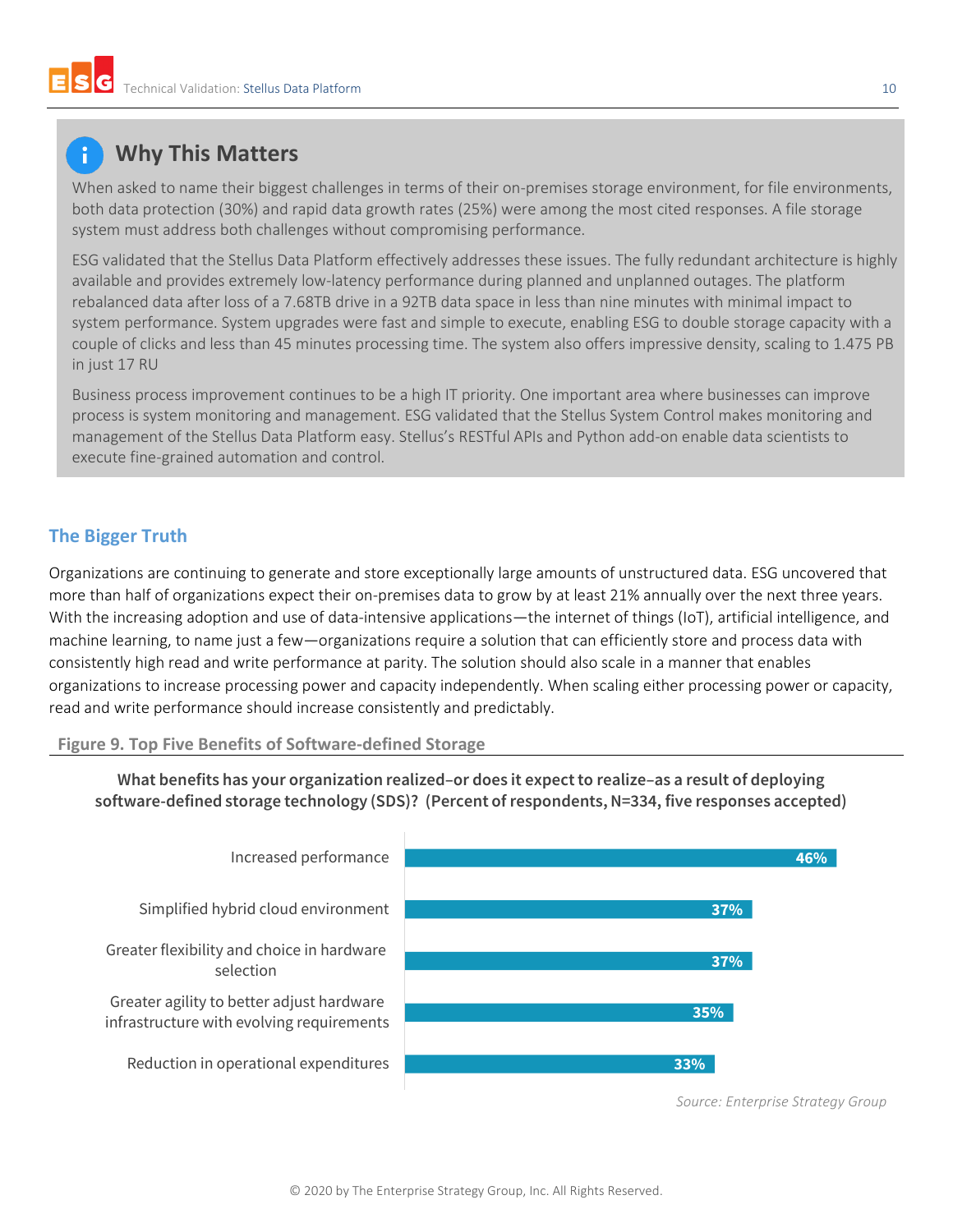### **Why This Matters**

When asked to name their biggest challenges in terms of their on-premises storage environment, for file environments, both data protection (30%) and rapid data growth rates (25%) were among the most cited responses. A file storage system must address both challenges without compromising performance.

ESG validated that the Stellus Data Platform effectively addresses these issues. The fully redundant architecture is highly available and provides extremely low-latency performance during planned and unplanned outages. The platform rebalanced data after loss of a 7.68TB drive in a 92TB data space in less than nine minutes with minimal impact to system performance. System upgrades were fast and simple to execute, enabling ESG to double storage capacity with a couple of clicks and less than 45 minutes processing time. The system also offers impressive density, scaling to 1.475 PB in just 17 RU

Business process improvement continues to be a high IT priority. One important area where businesses can improve process is system monitoring and management. ESG validated that the Stellus System Control makes monitoring and management of the Stellus Data Platform easy. Stellus's RESTful APIs and Python add-on enable data scientists to execute fine-grained automation and control.

#### <span id="page-9-0"></span>**The Bigger Truth**

Organizations are continuing to generate and store exceptionally large amounts of unstructured data. ESG uncovered that more than half of organizations expect their on-premises data to grow by at least 21% annually over the next three years. With the increasing adoption and use of data-intensive applications—the internet of things (IoT), artificial intelligence, and machine learning, to name just a few—organizations require a solution that can efficiently store and process data with consistently high read and write performance at parity. The solution should also scale in a manner that enables organizations to increase processing power and capacity independently. When scaling either processing power or capacity, read and write performance should increase consistently and predictably.

#### **Figure 9. Top Five Benefits of Software-defined Storage**



**What benefits has your organization realized–or does it expect to realize–as a result of deploying software-defined storage technology (SDS)? (Percent of respondents, N=334, five responses accepted)**

*Source: Enterprise Strategy Group*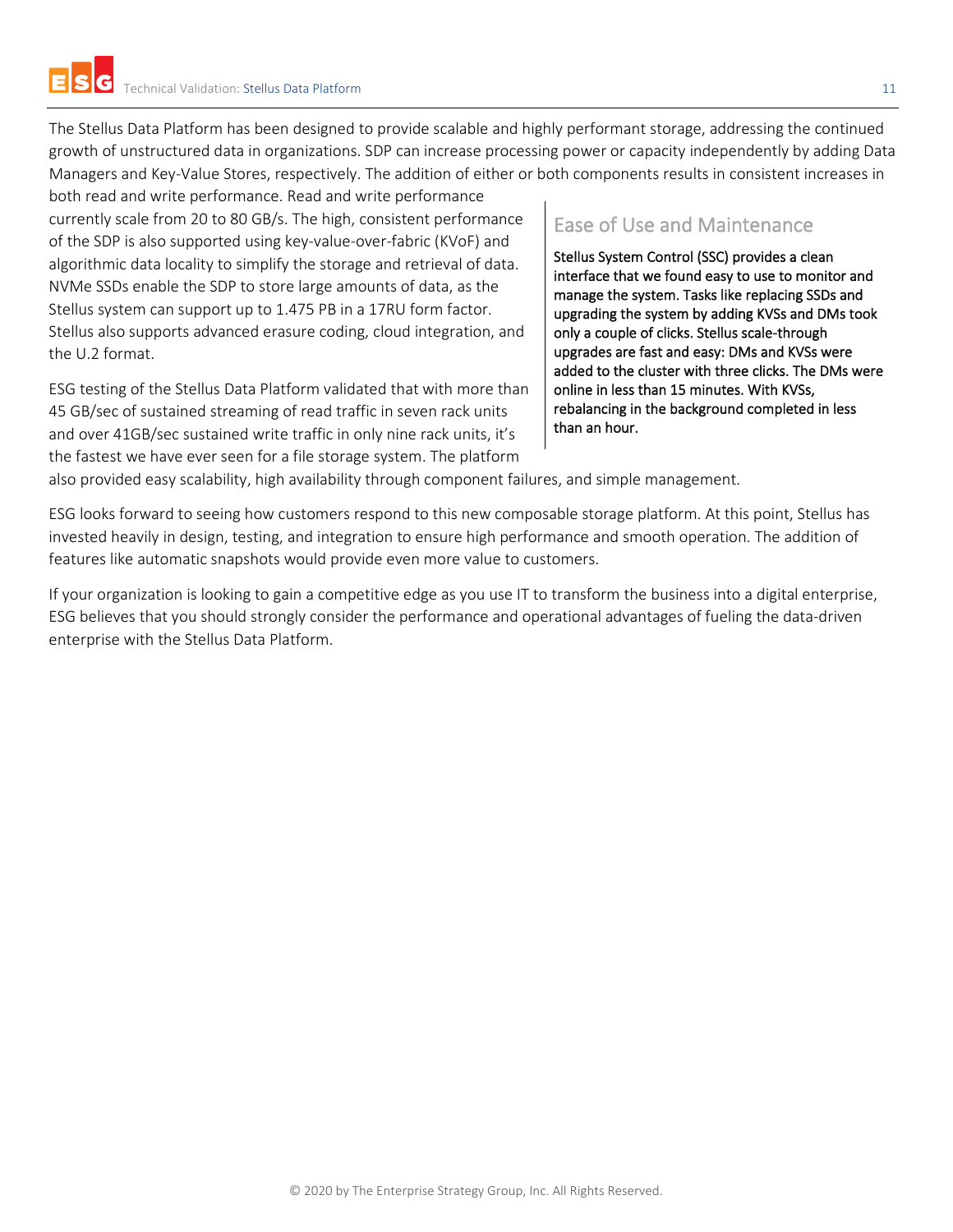The Stellus Data Platform has been designed to provide scalable and highly performant storage, addressing the continued growth of unstructured data in organizations. SDP can increase processing power or capacity independently by adding Data Managers and Key-Value Stores, respectively. The addition of either or both components results in consistent increases in

both read and write performance. Read and write performance currently scale from 20 to 80 GB/s. The high, consistent performance of the SDP is also supported using key-value-over-fabric (KVoF) and algorithmic data locality to simplify the storage and retrieval of data. NVMe SSDs enable the SDP to store large amounts of data, as the Stellus system can support up to 1.475 PB in a 17RU form factor. Stellus also supports advanced erasure coding, cloud integration, and the U.2 format.

ESG testing of the Stellus Data Platform validated that with more than 45 GB/sec of sustained streaming of read traffic in seven rack units and over 41GB/sec sustained write traffic in only nine rack units, it's the fastest we have ever seen for a file storage system. The platform

#### Ease of Use and Maintenance

Stellus System Control (SSC) provides a clean interface that we found easy to use to monitor and manage the system. Tasks like replacing SSDs and upgrading the system by adding KVSs and DMs took only a couple of clicks. Stellus scale-through upgrades are fast and easy: DMs and KVSs were added to the cluster with three clicks. The DMs were online in less than 15 minutes. With KVSs, rebalancing in the background completed in less than an hour.

also provided easy scalability, high availability through component failures, and simple management.

ESG looks forward to seeing how customers respond to this new composable storage platform. At this point, Stellus has invested heavily in design, testing, and integration to ensure high performance and smooth operation. The addition of features like automatic snapshots would provide even more value to customers.

If your organization is looking to gain a competitive edge as you use IT to transform the business into a digital enterprise, ESG believes that you should strongly consider the performance and operational advantages of fueling the data-driven enterprise with the Stellus Data Platform.